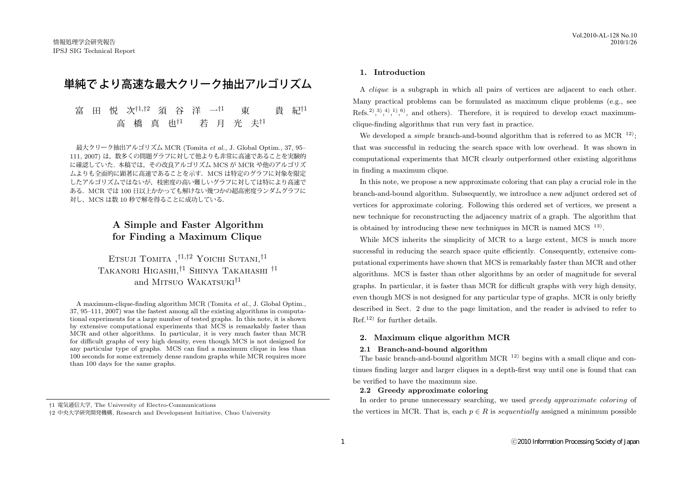# 単純で より高速な最大クリーク抽出アルゴリズム

# 富 田 悦 次*†*1*,†*<sup>2</sup> 須 谷 洋 一*†*<sup>1</sup> 東 貴 紀*†*<sup>1</sup> 高 橋 真 也*†*<sup>1</sup> 若 月 光 夫*†*<sup>1</sup>

最大クリーク抽出アルゴリズム MCR (Tomita *et al.,* J. Global Optim., 37, 95– 111, 2007) は、数多くの問題グラフに対して他よりも非常に高速であることを実験的 に確認していた. 本稿では,その改良アルゴリズム MCS が MCR や他のアルゴリズ ムよりも全面的に顕著に高速であることを示す.MCS は特定のグラフに対象を限定 したアルゴリズムではないが,枝密度の高い難しいグラフに対しては特により高速で ある.MCR では 100 日以上かかっても解けない幾つかの超高密度ランダムグラフに 対し, MCS は数 10 秒で解を得ることに成功している.

# **A Simple and Faster Algorithm for Finding a Maximum Clique**

Etsuji Tomita ,*†*1*,†*2 Yoichi Sutani,*†*1 Takanori Higashi,*†*1 Shinya Takahashi *†*1 and MITSUO WAKATSUKI<sup>†1</sup>

A maximum-clique-finding algorithm MCR (Tomita *et al.*, J. Global Optim., 37, 95–111, 2007) was the fastest among all the existing algorithms in computational experiments for a large number of tested graphs. In this note, it is shown by extensive computational experiments that MCS is remarkably faster than MCR and other algorithms. In particular, it is very much faster than MCR for difficult graphs of very high density, even though MCS is not designed for any particular type of graphs. MCS can find a maximum clique in less than 100 seconds for some extremely dense random graphs while MCR requires more than 100 days for the same graphs.

#### **1. Introduction**

A *clique* is a subgraph in which all pairs of vertices are adjacent to each other. Many practical problems can be formulated as maximum clique problems (e.g., see Refs.<sup>2</sup>,<sup>3</sup>,<sup>4</sup>,<sup>1</sup>,<sup>6</sup>, and others). Therefore, it is required to develop exact maximumclique-finding algorithms that run very fast in practice.

We developed a *simple* branch-and-bound algorithm that is referred to as  $MCR^{-12}$ : that was successful in reducing the search space with low overhead. It was shown in computational experiments that MCR clearly outperformed other existing algorithms in finding a maximum clique.

In this note, we propose a new approximate coloring that can play a crucial role in the branch-and-bound algorithm. Subsequently, we introduce a new adjunct ordered set of vertices for approximate coloring. Following this ordered set of vertices, we present a new technique for reconstructing the adjacency matrix of a graph. The algorithm that is obtained by introducing these new techniques in MCR is named MCS  $^{13}$ .

While MCS inherits the simplicity of MCR to a large extent, MCS is much more successful in reducing the search space quite efficiently. Consequently, extensive computational experiments have shown that MCS is remarkably faster than MCR and other algorithms. MCS is faster than other algorithms by an order of magnitude for several graphs. In particular, it is faster than MCR for difficult graphs with very high density, even though MCS is not designed for any particular type of graphs. MCR is only briefly described in Sect. 2 due to the page limitation, and the reader is advised to refer to  $Ref<sup>12</sup>$  for further details.

#### **2. Maximum clique algorithm MCR**

# **2.1 Branch-and-bound algorithm**

The basic branch-and-bound algorithm MCR <sup>12)</sup> begins with a small clique and continues finding larger and larger cliques in a depth-first way until one is found that can be verified to have the maximum size.

#### **2.2 Greedy approximate coloring**

In order to prune unnecessary searching, we used *greedy approximate coloring* of the vertices in MCR. That is, each  $p \in R$  is *sequentially* assigned a minimum possible

*<sup>†</sup>*1 電気通信大学, The University of Electro-Communications

*<sup>†</sup>*2 中央大学研究開発機構, Research and Development Initiative, Chuo University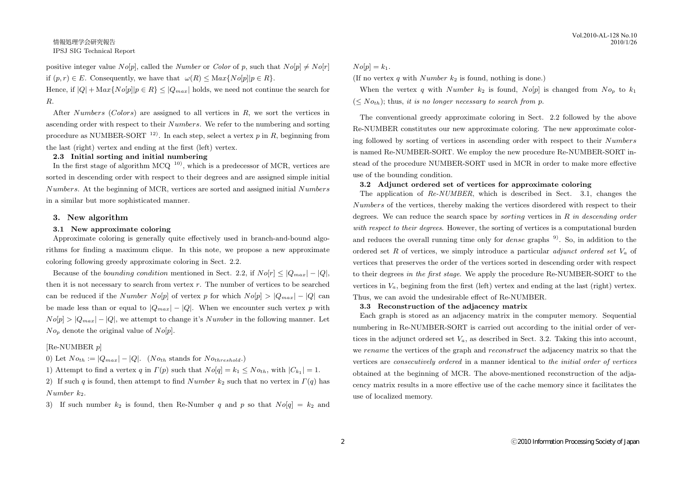positive integer value  $No[p]$ , called the *Number* or *Color* of p, such that  $No[p] \neq No[r]$ if  $(p, r) \in E$ . Consequently, we have that  $\omega(R) \leq \text{Max}\{N_o[p]|p \in R\}$ .

Hence, if  $|Q| + \text{Max}\{No[p] | p \in R\} \leq |Q_{max}|$  holds, we need not continue the search for *R*.

After *Numbers* (*Colors*) are assigned to all vertices in *R*, we sort the vertices in ascending order with respect to their *Numbers*. We refer to the numbering and sorting procedure as NUMBER-SORT <sup>12)</sup>. In each step, select a vertex  $p$  in  $R$ , beginning from the last (right) vertex and ending at the first (left) vertex.

# **2.3 Initial sorting and initial numbering**

In the first stage of algorithm  $MCO<sup>{10}</sup>$ , which is a predecessor of MCR, vertices are sorted in descending order with respect to their degrees and are assigned simple initial *Numbers*. At the beginning of MCR, vertices are sorted and assigned initial *Numbers* in a similar but more sophisticated manner.

#### **3. New algorithm**

#### **3.1 New approximate coloring**

Approximate coloring is generally quite effectively used in branch-and-bound algorithms for finding a maximum clique. In this note, we propose a new approximate coloring following greedy approximate coloring in Sect. 2.2.

Because of the *bounding condition* mentioned in Sect. 2.2, if  $No[r] \leq |Q_{max}| - |Q|$ , then it is not necessary to search from vertex *r*. The number of vertices to be searched can be reduced if the *Number No*[*p*] of vertex *p* for which  $No[p] > |Q_{max}| - |Q|$  can be made less than or equal to  $|Q_{max}| - |Q|$ . When we encounter such vertex p with  $No[p] > |Q_{max}| - |Q|$ , we attempt to change it's *Number* in the following manner. Let  $No_p$  denote the original value of  $No[p]$ .

#### [Re-NUMBER *p*]

0) Let  $No<sub>th</sub> := |Q<sub>max</sub>| - |Q|$ . ( $No<sub>th</sub>$  stands for  $No<sub>threshold</sub>$ .)

1) Attempt to find a vertex *q* in  $\Gamma(p)$  such that  $N o[q] = k_1 \leq N o_{th}$ , with  $|C_{k_1}| = 1$ .

2) If such *q* is found, then attempt to find *Number k*<sup>2</sup> such that no vertex in *Γ*(*q*) has *Number k*2.

3) If such number  $k_2$  is found, then Re-Number *q* and *p* so that  $N \circ q \mid q = k_2$  and

#### $No[p] = k_1.$

(If no vertex *q* with *Number k*<sub>2</sub> is found, nothing is done.)

When the vertex *q* with *Number*  $k_2$  is found,  $N_o[p]$  is changed from  $N_{o_p}$  to  $k_1$  $(*N*<sub>0</sub><sub>th</sub>)$ ; thus, *it is no longer necessary to search from p.* 

The conventional greedy approximate coloring in Sect. 2.2 followed by the above Re-NUMBER constitutes our new approximate coloring. The new approximate coloring followed by sorting of vertices in ascending order with respect to their *Numbers* is named Re-NUMBER-SORT. We employ the new procedure Re-NUMBER-SORT instead of the procedure NUMBER-SORT used in MCR in order to make more effective use of the bounding condition.

#### **3.2 Adjunct ordered set of vertices for approximate coloring**

The application of *Re-NUMBER*, which is described in Sect. 3.1, changes the *Numbers* of the vertices, thereby making the vertices disordered with respect to their degrees. We can reduce the search space by *sorting* vertices in *R in descending order with respect to their degrees*. However, the sorting of vertices is a computational burden and reduces the overall running time only for *dense* graphs <sup>9</sup>. So, in addition to the ordered set *R* of vertices, we simply introduce a particular *adjunct ordered set V<sup>a</sup>* of vertices that preserves the order of the vertices sorted in descending order with respect to their degrees *in the first stage*. We apply the procedure Re-NUMBER-SORT to the vertices in  $V_a$ , begining from the first (left) vertex and ending at the last (right) vertex. Thus, we can avoid the undesirable effect of Re-NUMBER.

#### **3.3 Reconstruction of the adjacency matrix**

Each graph is stored as an adjacency matrix in the computer memory. Sequential numbering in Re-NUMBER-SORT is carried out according to the initial order of vertices in the adjunct ordered set  $V_a$ , as described in Sect. 3.2. Taking this into account, we *rename* the vertices of the graph and *reconstruct* the adjacency matrix so that the vertices are *consecutively ordered* in a manner identical to *the initial order of vertices* obtained at the beginning of MCR. The above-mentioned reconstruction of the adjacency matrix results in a more effective use of the cache memory since it facilitates the use of localized memory.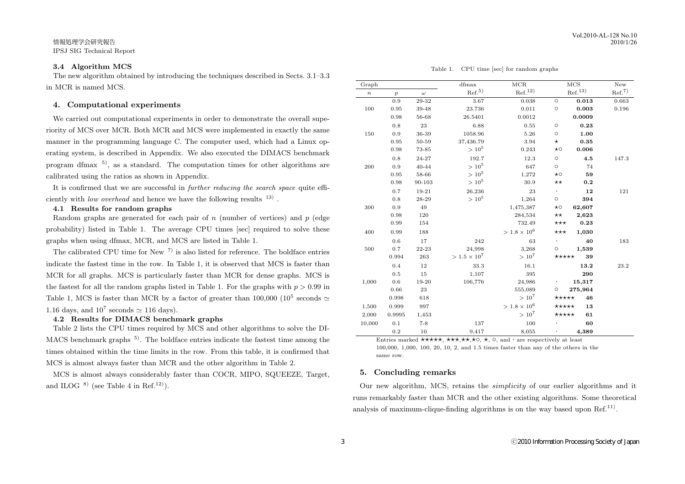## **3.4 Algorithm MCS**

The new algorithm obtained by introducing the techniques described in Sects. 3.1–3.3 in MCR is named MCS.

## **4. Computational experiments**

We carried out computational experiments in order to demonstrate the overall superiority of MCS over MCR. Both MCR and MCS were implemented in exactly the same manner in the programming language C. The computer used, which had a Linux operating system, is described in Appendix. We also executed the DIMACS benchmark program dfmax  $5$ , as a standard. The computation times for other algorithms are calibrated using the ratios as shown in Appendix.

It is confirmed that we are successful in *further reducing the search space* quite efficiently with *low overhead* and hence we have the following results  $13$ .

#### **4.1 Results for random graphs**

Random graphs are generated for each pair of *n* (number of vertices) and *p* (edge probability) listed in Table 1. The average CPU times [sec] required to solve these graphs when using dfmax, MCR, and MCS are listed in Table 1.

The calibrated CPU time for New  $7$ ) is also listed for reference. The boldface entries indicate the fastest time in the row. In Table 1, it is observed that MCS is faster than MCR for all graphs. MCS is particularly faster than MCR for dense graphs. MCS is the fastest for all the random graphs listed in Table 1. For the graphs with  $p > 0.99$  in Table 1, MCS is faster than MCR by a factor of greater than  $100,000$  ( $10^5$  seconds  $\simeq$ 1.16 days, and  $10^7$  seconds  $\simeq$  116 days).

### **4.2 Results for DIMACS benchmark graphs**

Table 2 lists the CPU times required by MCS and other algorithms to solve the DI-MACS benchmark graphs <sup>5)</sup>. The boldface entries indicate the fastest time among the times obtained within the time limits in the row. From this table, it is confirmed that MCS is almost always faster than MCR and the other algorithm in Table 2.

MCS is almost always considerably faster than COCR, MIPO, SQUEEZE, Target, and ILOG  $^{8)}$  (see Table 4 in Ref.<sup>12)</sup>).

Table 1. CPU time [sec] for random graphs

| Graph            |                  |          | dfmax                 | $_{\rm MCR}$          | $_{\rm MCS}$                      | New               |
|------------------|------------------|----------|-----------------------|-----------------------|-----------------------------------|-------------------|
| $\boldsymbol{n}$ | $\boldsymbol{p}$ | $\omega$ | $\mathrm{Ref.}^{5)}$  | Ref. <sup>12</sup>    | ${\rm Ref.}^{13)}$                | Ref. <sup>7</sup> |
|                  | 0.9              | 29-32    | 3.67                  | 0.038                 | $\circ$<br>0.013                  | 0.663             |
| 100              | 0.95             | 39-48    | 23.736                | 0.011                 | 0.003<br>$\circ$                  | 0.196             |
|                  | 0.98             | 56-68    | 26.5401               | 0.0012                | 0.0009                            |                   |
|                  | 0.8              | 23       | 6.88                  | 0.55                  | $\circ$<br>0.23                   |                   |
| 150              | 0.9              | 36-39    | 1058.96               | 5.26                  | $\circ$<br>1.00                   |                   |
|                  | 0.95             | 50-59    | 37,436.79             | 3.94                  | 0.35<br>$^\star$                  |                   |
|                  | 0.98             | 73-85    | $> 10^5$              | 0.243                 | 0.006<br>$\star \circ$            |                   |
|                  | 0.8              | 24-27    | 192.7                 | 12.3                  | $\circ$<br>4.5                    | 147.3             |
| 200              | 0.9              | 40-44    | $> 10^5$              | 647                   | $\circ$<br>74                     |                   |
|                  | 0.95             | 58-66    | $> 10^5$              | 1,272                 | 59<br>$\star \circ$               |                   |
|                  | 0.98             | 90-103   | $>10^5\,$             | 30.9                  | $\star\star$<br>0.2               |                   |
|                  | 0.7              | 19-21    | 26,236                | 23                    | $\ddot{\phantom{0}}$<br>12        | 121               |
|                  | 0.8              | 28-29    | $> 10^5$              | 1,264                 | $\circ$<br>394                    |                   |
| 300              | 0.9              | 49       |                       | 1,475,387             | 62,607<br>$\star \circ$           |                   |
|                  | 0.98             | 120      |                       | 284,534               | 2,623<br>$\star\star$             |                   |
|                  | 0.99             | 154      |                       | 732.49                | 0.23<br>$\star\star\star$         |                   |
| 400              | 0.99             | 188      |                       | $> 1.8 \times 10^{6}$ | $\star\star\star$<br>1,030        |                   |
|                  | 0.6              | 17       | 242                   | 63                    | 40<br>$\bullet$                   | 183               |
| 500              | 0.7              | 22-23    | 24,998                | 3,268                 | 1,539<br>$\circ$                  |                   |
|                  | 0.994            | 263      | $> 1.5 \times 10^{7}$ | $> 10^{7}$            | 39<br>$\star\star\star\star\star$ |                   |
|                  | 0.4              | 12       | 33.3                  | 16.1                  | 13.2                              | 23.2              |
|                  | 0.5              | 15       | 1,107                 | 395                   | 290                               |                   |
| 1,000            | 0.6              | 19-20    | 106,776               | 24,986                | 15,317                            |                   |
|                  | 0.66             | 23       |                       | 555,089               | 275,964<br>$\circ$                |                   |
|                  | 0.998            | 618      |                       | $> 10^{7}$            | $\star\star\star\star\star$<br>46 |                   |
| 1,500            | 0.999            | 997      |                       | $> 1.8 \times 10^{6}$ | $\star\star\star\star\star$<br>13 |                   |
| 2,000            | 0.9995           | 1,453    |                       | $> 10^{7}$            | $\star\star\star\star\star$<br>61 |                   |
| 10,000           | 0.1              | $7 - 8$  | 137                   | 100                   | 60                                |                   |
|                  | 0.2              | 10       | 9,417                 | 8,055                 | 4,389                             |                   |

Entries marked **\*\*\*\*\***, **\*\*\***, **\***\*\*, **\***o, **\***, ○, and · are respectively at least 100,000, 1,000, 100, 20, 10, 2, and 1.5 times faster than any of the others in the same row.

# **5. Concluding remarks**

Our new algorithm, MCS, retains the *simplicity* of our earlier algorithms and it runs remarkably faster than MCR and the other existing algorithms. Some theoretical analysis of maximum-clique-finding algorithms is on the way based upon  $Ref.<sup>11</sup>$ .